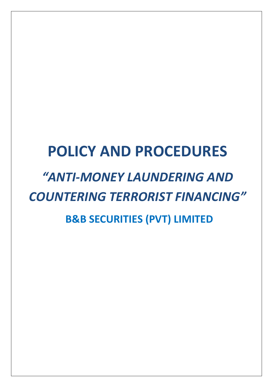# **POLICY AND PROCEDURES** *"ANTI-MONEY LAUNDERING AND COUNTERING TERRORIST FINANCING"*

**B&B SECURITIES (PVT) LIMITED**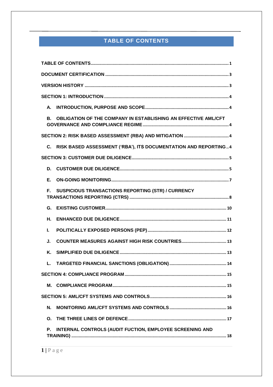# TABLE OF CONTENTS

<span id="page-1-0"></span>

| А.                                                                    |  |  |  |  |
|-----------------------------------------------------------------------|--|--|--|--|
| OBLIGATION OF THE COMPANY IN ESTABLISHING AN EFFECTIVE AML/CFT<br>В.  |  |  |  |  |
|                                                                       |  |  |  |  |
| RISK BASED ASSESSMENT ('RBA'), ITS DOCUMENTATION AND REPORTING4<br>C. |  |  |  |  |
|                                                                       |  |  |  |  |
| D.                                                                    |  |  |  |  |
| Е.                                                                    |  |  |  |  |
| SUSPICIOUS TRANSACTIONS REPORTING (STR) / CURRENCY<br>Е.              |  |  |  |  |
| G.                                                                    |  |  |  |  |
| Η.                                                                    |  |  |  |  |
| L.                                                                    |  |  |  |  |
| J.                                                                    |  |  |  |  |
| Κ.                                                                    |  |  |  |  |
| L.                                                                    |  |  |  |  |
|                                                                       |  |  |  |  |
| М.                                                                    |  |  |  |  |
|                                                                       |  |  |  |  |
| N.                                                                    |  |  |  |  |
| Ο.                                                                    |  |  |  |  |
| INTERNAL CONTROLS (AUDIT FUCTION, EMPLOYEE SCREENING AND<br>Р.        |  |  |  |  |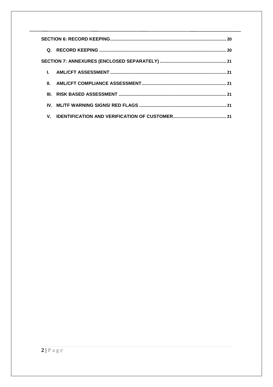| Q. |  |
|----|--|
|    |  |
|    |  |
|    |  |
|    |  |
|    |  |
|    |  |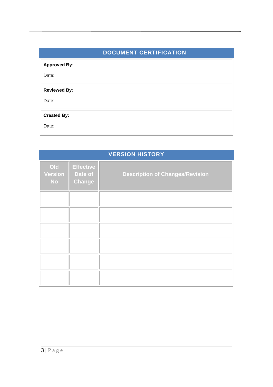# **DOCUMENT CERTIFICATION**

<span id="page-3-0"></span>

| <b>Approved By:</b><br>Date: |  |
|------------------------------|--|
| <b>Reviewed By:</b><br>Date: |  |
| <b>Created By:</b><br>Date:  |  |

<span id="page-3-1"></span>

| <b>VERSION HISTORY</b>             |                                              |                                        |  |  |
|------------------------------------|----------------------------------------------|----------------------------------------|--|--|
| Old<br><b>Version</b><br><b>No</b> | <b>Effective</b><br>Date of<br><b>Change</b> | <b>Description of Changes/Revision</b> |  |  |
|                                    |                                              |                                        |  |  |
|                                    |                                              |                                        |  |  |
|                                    |                                              |                                        |  |  |
|                                    |                                              |                                        |  |  |
|                                    |                                              |                                        |  |  |
|                                    |                                              |                                        |  |  |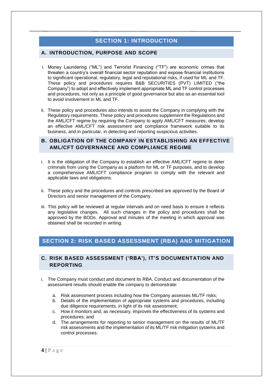# **SECTION 1: INTRODUCTION**

# <span id="page-4-1"></span><span id="page-4-0"></span>**A. INTRODUCTION, PURPOSE AND SCOPE**

- i. Money Laundering ("ML") and Terrorist Financing ("TF") are economic crimes that threaten a country's overall financial sector reputation and expose financial institutions to significant operational, regulatory, legal and reputational risks, if used for ML and TF. These policy and procedures requires B&B SECURITIES (PVT) LIMITED ("the Company") to adopt and effectively implement appropriate ML and TF control processes and procedures, not only as a principle of good governance but also as an essential tool to avoid involvement in ML and TF.
- ii. These policy and procedures also intends to assist the Company in complying with the Regulatory requirements. These policy and procedures supplement the Regulations and the AML/CFT regime by requiring the Company to apply AML/CFT measures, develop an effective AML/CFT risk assessment and compliance framework suitable to its business, and in particular, in detecting and reporting suspicious activities.

## <span id="page-4-2"></span>**B. OBLIGATION OF THE COMPANY IN ESTABLISHING AN EFFECTIVE AML/CFT GOVERNANCE AND COMPLIANCE REGIME**

- i. It is the obligation of the Company to establish an effective AML/CFT regime to deter criminals from using the Company as a platform for ML or TF purposes, and to develop a comprehensive AML/CFT compliance program to comply with the relevant and applicable laws and obligations.
- ii. These policy and the procedures and controls prescribed are approved by the Board of Directors and senior management of the Company.
- iii. This policy will be reviewed at regular intervals and on need basis to ensure it reflects any legislative changes. All such changes in the policy and procedures shall be approved by the BODs. Approval and minutes of the meeting in which approval was obtained shall be recorded in writing.

# <span id="page-4-3"></span>**SECTION 2: RISK BASED ASSESSMENT (RBA) AND MITIGATION**

# <span id="page-4-4"></span>**C. RISK BASED ASSESSMENT ('RBA'), IT'S DOCUMENTATION AND REPORTING**

- i. The Company must conduct and document its RBA. Conduct and documentation of the assessment results should enable the company to demonstrate:
	- a. Risk assessment process including how the Company assesses ML/TF risks;
	- b. Details of the implementation of appropriate systems and procedures, including due diligence requirements, in light of its risk assessment;
	- c. How it monitors and, as necessary, improves the effectiveness of its systems and procedures; and
	- d. The arrangements for reporting to senior management on the results of ML/TF risk assessments and the implementation of its ML/TF risk mitigation systems and control processes.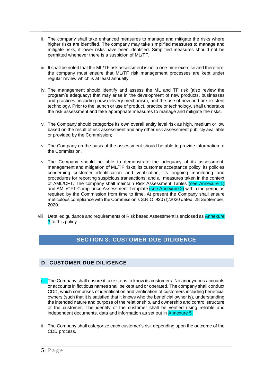- ii. The company shall take enhanced measures to manage and mitigate the risks where higher risks are identified. The company may take simplified measures to manage and mitigate risks, if lower risks have been identified. Simplified measures should not be permitted whenever there is a suspicion of ML/TF.
- iii. It shall be noted that the ML/TF risk assessment is not a one-time exercise and therefore, the company must ensure that ML/TF risk management processes are kept under regular review which is at least annually.
- iv. The management should identify and assess the ML and TF risk (also review the program's adequacy) that may arise in the development of new products, businesses and practices, including new delivery mechanism, and the use of new and pre-existent technology. Prior to the launch or use of product, practice or technology, shall undertake the risk assessment and take appropriate measures to manage and mitigate the risks.
- v. The Company should categorize its own overall entity level risk as high, medium or low based on the result of risk assessment and any other risk assessment publicly available or provided by the Commission;
- vi. The Company on the basis of the assessment should be able to provide information to the Commission.
- vii. The Company should be able to demonstrate the adequacy of its assessment, management and mitigation of ML/TF risks; its customer acceptance policy; its policies concerning customer identification and verification; its ongoing monitoring and procedures for reporting suspicious transactions; and all measures taken in the context of AML/CFT. The company shall maintain Risk Assessment Tables (see Annexure 1) and AML/CFT Compliance Assessment Template (see Annexure 2) within the period as required by the Commission from time to time. At present the Company shall ensure meticulous compliance with the Commission's S.R.O. 920 (I)/2020 dated; 28 September, 2020.
- <span id="page-5-0"></span>viii. Detailed guidance and requirements of Risk based Assessment is enclosed as Annexure **3** to this policy.

# **SECTION 3: CUSTOMER DUE DILIGENCE**

# <span id="page-5-1"></span>**D. CUSTOMER DUE DILIGENCE**

- i. The Company shall ensure it take steps to know its customers. No anonymous accounts or accounts in fictitious names shall be kept and or operated. The company shall conduct CDD, which comprises of identification and verification of customers including beneficial owners (such that it is satisfied that it knows who the beneficial owner is), understanding the intended nature and purpose of the relationship, and ownership and control structure of the customer. The identity of the customer shall be verified using reliable and independent documents, data and information as set out in Annexure 5.
- ii. The Company shall categorize each customer's risk depending upon the outcome of the CDD process.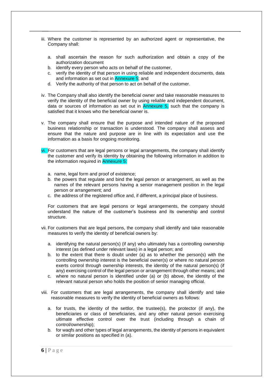- iii. Where the customer is represented by an authorized agent or representative, the Company shall:
	- a. shall ascertain the reason for such authorization and obtain a copy of the authorization document
	- b. identify every person who acts on behalf of the customer,
	- c. verify the identity of that person in using reliable and independent documents, data and information as set out in Annexure 5; and
	- d. Verify the authority of that person to act on behalf of the customer.
- iv. The Company shall also identify the beneficial owner and take reasonable measures to verify the identity of the beneficial owner by using reliable and independent document, data or sources of information as set out in Annexure 5, such that the company is satisfied that it knows who the beneficial owner is.
- v. The company shall ensure that the purpose and intended nature of the proposed business relationship or transaction is understood. The company shall assess and ensure that the nature and purpose are in line with its expectation and use the information as a basis for ongoing monitoring.
- vi. For customers that are legal persons or legal arrangements, the company shall identify the customer and verify its identity by obtaining the following information in addition to the information required in Annexure 5:
	- a. name, legal form and proof of existence;
	- b. the powers that regulate and bind the legal person or arrangement, as well as the names of the relevant persons having a senior management position in the legal person or arrangement; and
	- c. the address of the registered office and, if different, a principal place of business.

For customers that are legal persons or legal arrangements, the company should understand the nature of the customer's business and its ownership and control structure.

- vii. For customers that are legal persons, the company shall identify and take reasonable measures to verify the identity of beneficial owners by:
	- a. identifying the natural person(s) (if any) who ultimately has a controlling ownership interest (as defined under relevant laws) in a legal person; and
	- b. to the extent that there is doubt under (a) as to whether the person(s) with the controlling ownership interest is the beneficial owner(s) or where no natural person exerts control through ownership interests, the identity of the natural person(s) (if any) exercising control of the legal person or arrangement through other means; and
	- c. where no natural person is identified under (a) or (b) above, the identity of the relevant natural person who holds the position of senior managing official.
- viii. For customers that are legal arrangements, the company shall identify and take reasonable measures to verify the identity of beneficial owners as follows:
	- a. for trusts, the identity of the settlor, the trustee(s), the protector (if any), the beneficiaries or class of beneficiaries, and any other natural person exercising ultimate effective control over the trust (including through a chain of control/ownership);
	- b. for waqfs and other types of legal arrangements, the identity of persons in equivalent or similar positions as specified in (a).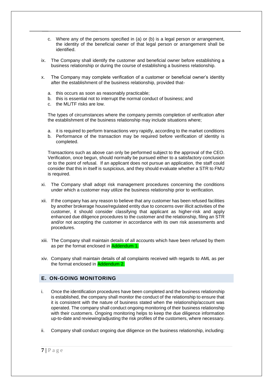- c. Where any of the persons specified in (a) or (b) is a legal person or arrangement, the identity of the beneficial owner of that legal person or arrangement shall be identified.
- ix. The Company shall identify the customer and beneficial owner before establishing a business relationship or during the course of establishing a business relationship.
- x. The Company may complete verification of a customer or beneficial owner's identity after the establishment of the business relationship, provided that
	- a. this occurs as soon as reasonably practicable;
	- b. this is essential not to interrupt the normal conduct of business; and
	- c. the ML/TF risks are low.

The types of circumstances where the company permits completion of verification after the establishment of the business relationship may include situations where;

- a. it is required to perform transactions very rapidly, according to the market conditions
- b. Performance of the transaction may be required before verification of identity is completed.

Transactions such as above can only be performed subject to the approval of the CEO. Verification, once begun, should normally be pursued either to a satisfactory conclusion or to the point of refusal. If an applicant does not pursue an application, the staff could consider that this in itself is suspicious, and they should evaluate whether a STR to FMU is required.

- xi. The Company shall adopt risk management procedures concerning the conditions under which a customer may utilize the business relationship prior to verification.
- xii. If the company has any reason to believe that any customer has been refused facilities by another brokerage house/regulated entity due to concerns over illicit activities of the customer, it should consider classifying that applicant as higher-risk and apply enhanced due diligence procedures to the customer and the relationship, filing an STR and/or not accepting the customer in accordance with its own risk assessments and procedures.
- xiii. The Company shall maintain details of all accounts which have been refused by them as per the format enclosed in Addendum 1.
- xiv. Company shall maintain details of all complaints received with regards to AML as per the format enclosed in Addendum 2.

# <span id="page-7-0"></span>**E. ON-GOING MONITORING**

- i. Once the identification procedures have been completed and the business relationship is established, the company shall monitor the conduct of the relationship to ensure that it is consistent with the nature of business stated when the relationship/account was operated. The company shall conduct ongoing monitoring of their business relationship with their customers. Ongoing monitoring helps to keep the due diligence information up-to-date and reviewing/adjusting the risk profiles of the customers, where necessary.
- ii. Company shall conduct ongoing due diligence on the business relationship, including: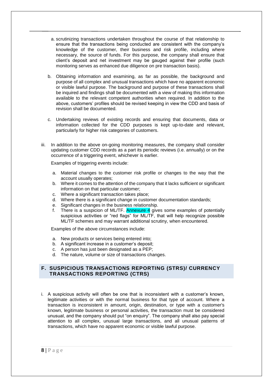- a. scrutinizing transactions undertaken throughout the course of that relationship to ensure that the transactions being conducted are consistent with the company's knowledge of the customer, their business and risk profile, including where necessary, the source of funds. For this purpose, the company shall ensure that client's deposit and net investment may be gauged against their profile (such monitoring serves as enhanced due diligence on pre transaction basis).
- b. Obtaining information and examining, as far as possible, the background and purpose of all complex and unusual transactions which have no apparent economic or visible lawful purpose. The background and purpose of these transactions shall be inquired and findings shall be documented with a view of making this information available to the relevant competent authorities when required. In addition to the above, customers' profiles should be revised keeping in view the CDD and basis of revision shall be documented.
- c. Undertaking reviews of existing records and ensuring that documents, data or information collected for the CDD purposes is kept up-to-date and relevant, particularly for higher risk categories of customers.
- iii. In addition to the above on-going monitoring measures, the company shall consider updating customer CDD records as a part its periodic reviews (i.e. annually) or on the occurrence of a triggering event, whichever is earlier.

Examples of triggering events include:

- a. Material changes to the customer risk profile or changes to the way that the account usually operates;
- b. Where it comes to the attention of the company that it lacks sufficient or significant information on that particular customer;
- c. Where a significant transaction takes place;
- d. Where there is a significant change in customer documentation standards;
- e. Significant changes in the business relationship.
- f. There is a suspicion of ML/TF. Annexure 4 gives some examples of potentially suspicious activities or "red flags" for ML/TF, that will help recognize possible ML/TF schemes and may warrant additional scrutiny, when encountered.

Examples of the above circumstances include:

- a. New products or services being entered into;
- b. A significant increase in a customer's deposit;
- c. A person has just been designated as a PEP;
- d. The nature, volume or size of transactions changes.

#### <span id="page-8-0"></span>**F. SUSPICIOUS TRANSACTIONS REPORTING (STRS)/ CURRENCY TRANSACTIONS REPORTING (CTRS)**

i. A suspicious activity will often be one that is inconsistent with a customer's known, legitimate activities or with the normal business for that type of account. Where a transaction is inconsistent in amount, origin, destination, or type with a customer's known, legitimate business or personal activities, the transaction must be considered unusual, and the company should put "on enquiry". The company shall also pay special attention to all complex, unusual large transactions, and all unusual patterns of transactions, which have no apparent economic or visible lawful purpose.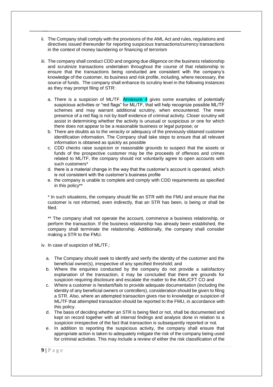- ii. The Company shall comply with the provisions of the AML Act and rules, regulations and directives issued thereunder for reporting suspicious transactions/currency transactions in the context of money laundering or financing of terrorism
- iii. The company shall conduct CDD and ongoing due diligence on the business relationship and scrutinize transactions undertaken throughout the course of that relationship to ensure that the transactions being conducted are consistent with the company's knowledge of the customer, its business and risk profile, including, where necessary, the source of funds. The company shall enhance its scrutiny level in the following instances as they may prompt filing of STR:
	- a. There is a suspicion of ML/TF. Annexure 4 gives some examples of potentially suspicious activities or "red flags" for ML/TF, that will help recognize possible ML/TF schemes and may warrant additional scrutiny, when encountered. The mere presence of a red flag is not by itself evidence of criminal activity. Closer scrutiny will assist in determining whether the activity is unusual or suspicious or one for which there does not appear to be a reasonable business or legal purpose; or
	- b. There are doubts as to the veracity or adequacy of the previously obtained customer identification information. The Company shall take steps to ensure that all relevant information is obtained as quickly as possible
	- c. CDD checks raise suspicion or reasonable grounds to suspect that the assets or funds of the prospective customer may be the proceeds of offences and crimes related to ML/TF, the company should not voluntarily agree to open accounts with such customers\*
	- d. there is a material change in the way that the customer's account is operated, which is not consistent with the customer's business profile
	- e. the company is unable to complete and comply with CDD requirements as specified in this policy\*\*

\* In such situations, the company should file an STR with the FMU and ensure that the customer is not informed, even indirectly, that an STR has been, is being or shall be filed.

\*\* The company shall not operate the account, commence a business relationship, or perform the transaction. If the business relationship has already been established, the company shall terminate the relationship. Additionally, the company shall consider making a STR to the FMU.

iv. In case of suspicion of ML/TF,:

- a. The Company should seek to identify and verify the identity of the customer and the beneficial owner(s), irrespective of any specified threshold; and
- b. Where the enquiries conducted by the company do not provide a satisfactory explanation of the transaction, it may be concluded that there are grounds for suspicion requiring disclosure and escalate the matter to the AML/CFT CO and
- c. Where a customer is hesitant/fails to provide adequate documentation (including the identity of any beneficial owners or controllers), consideration should be given to filing a STR. Also, where an attempted transaction gives rise to knowledge or suspicion of ML/TF that attempted transaction should be reported to the FMU, in accordance with this policy.
- d. The basis of deciding whether an STR is being filed or not, shall be documented and kept on record together with all internal findings and analysis done in relation to a suspicion irrespective of the fact that transaction is subsequently reported or not.
- e. In addition to reporting the suspicious activity, the company shall ensure that appropriate action is taken to adequately mitigate the risk of the company being used for criminal activities. This may include a review of either the risk classification of the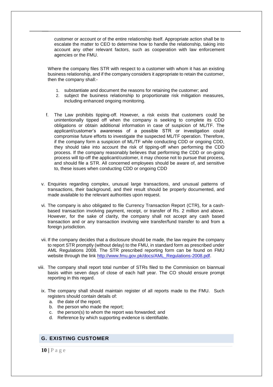customer or account or of the entire relationship itself. Appropriate action shall be to escalate the matter to CEO to determine how to handle the relationship, taking into account any other relevant factors, such as cooperation with law enforcement agencies or the FMU.

Where the company files STR with respect to a customer with whom it has an existing business relationship, and if the company considers it appropriate to retain the customer, then the company shall:-

- 1. substantiate and document the reasons for retaining the customer; and
- 2. subject the business relationship to proportionate risk mitigation measures, including enhanced ongoing monitoring.
- f. The Law prohibits tipping-off. However, a risk exists that customers could be unintentionally tipped off when the company is seeking to complete its CDD obligations or obtain additional information in case of suspicion of ML/TF. The applicant/customer's awareness of a possible STR or investigation could compromise future efforts to investigate the suspected ML/TF operation. Therefore, if the company form a suspicion of ML/TF while conducting CDD or ongoing CDD, they should take into account the risk of tipping-off when performing the CDD process. If the company reasonably believes that performing the CDD or on-going process will tip-off the applicant/customer, it may choose not to pursue that process, and should file a STR. All concerned employees should be aware of, and sensitive to, these issues when conducting CDD or ongoing CDD
- v. Enquiries regarding complex, unusual large transactions, and unusual patterns of transactions, their background, and their result should be properly documented, and made available to the relevant authorities upon request.
- vi. The company is also obligated to file Currency Transaction Report (CTR), for a cashbased transaction involving payment, receipt, or transfer of Rs. 2 million and above. However, for the sake of clarity, the company shall not accept any cash based transaction and or any transaction involving wire transfer/fund transfer to and from a foreign jurisdiction.
- vii. If the company decides that a disclosure should be made, the law require the company to report STR promptly (without delay) to the FMU, in standard form as prescribed under AML Regulations 2008. The STR prescribed reporting form can be found on FMU website through the link [http://www.fmu.gov.pk/docs/AML\\_Regulations-2008.pdf.](http://www.fmu.gov.pk/docs/AML_Regulations-2008.pdf)
- viii. The company shall report total number of STRs filed to the Commission on biannual basis within seven days of close of each half year. The CO should ensure prompt reporting in this regard.
	- ix. The company shall should maintain register of all reports made to the FMU. Such registers should contain details of:
		- a. the date of the report;
		- b. the person who made the report;
		- c. the person(s) to whom the report was forwarded; and
		- d. Reference by which supporting evidence is identifiable.

#### <span id="page-10-0"></span>**G. EXISTING CUSTOMER**

**10 |** P a g e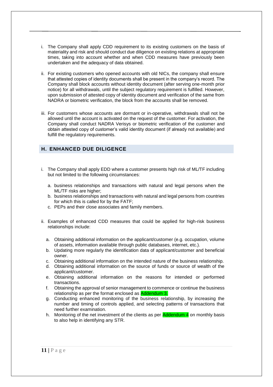- i. The Company shall apply CDD requirement to its existing customers on the basis of materiality and risk and should conduct due diligence on existing relations at appropriate times, taking into account whether and when CDD measures have previously been undertaken and the adequacy of data obtained.
- ii. For existing customers who opened accounts with old NICs, the company shall ensure that attested copies of identity documents shall be present in the company's record. The Company shall block accounts without identity document (after serving one-month prior notice) for all withdrawals, until the subject regulatory requirement is fulfilled. However, upon submission of attested copy of identity document and verification of the same from NADRA or biometric verification, the block from the accounts shall be removed.
- iii. For customers whose accounts are dormant or in-operative, withdrawals shall not be allowed until the account is activated on the request of the customer. For activation, the Company shall conduct NADRA Verisys or biometric verification of the customer and obtain attested copy of customer's valid identity document (if already not available) and fulfill the regulatory requirements.

# <span id="page-11-0"></span>**H. ENHANCED DUE DILIGENCE**

- i. The Company shall apply EDD where a customer presents high risk of ML/TF including but not limited to the following circumstances:
	- a. business relationships and transactions with natural and legal persons when the ML/TF risks are higher;
	- b. business relationships and transactions with natural and legal persons from countries for which this is called for by the FATF;
	- c. PEPs and their close associates and family members.
- ii. Examples of enhanced CDD measures that could be applied for high-risk business relationships include:
	- a. Obtaining additional information on the applicant/customer (e.g. occupation, volume of assets, information available through public databases, internet, etc.).
	- b. Updating more regularly the identification data of applicant/customer and beneficial owner.
	- c. Obtaining additional information on the intended nature of the business relationship.
	- d. Obtaining additional information on the source of funds or source of wealth of the applicant/customer.
	- e. Obtaining additional information on the reasons for intended or performed transactions.
	- f. Obtaining the approval of senior management to commence or continue the business relationship as per the format enclosed as Addendum 3.
	- g. Conducting enhanced monitoring of the business relationship, by increasing the number and timing of controls applied, and selecting patterns of transactions that need further examination.
	- h. Monitoring of the net investment of the clients as per **Addendum 4** on monthly basis to also help in identifying any STR.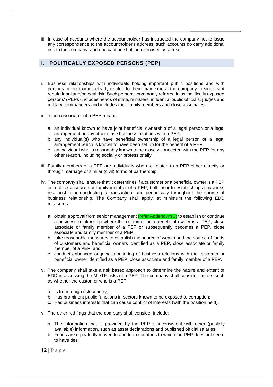iii. In case of accounts where the accountholder has instructed the company not to issue any correspondence to the accountholder's address, such accounts do carry additional risk to the company, and due caution shall be exercised as a result.

# <span id="page-12-0"></span>**I. POLITICALLY EXPOSED PERSONS (PEP)**

- i. Business relationships with individuals holding important public positions and with persons or companies clearly related to them may expose the company to significant reputational and/or legal risk. Such persons, commonly referred to as 'politically exposed persons' (PEPs) includes heads of state, ministers, influential public officials, judges and military commanders and includes their family members and close associates.
- ii. "close associate" of a PEP means
	- a. an individual known to have joint beneficial ownership of a legal person or a legal arrangement or any other close business relations with a PEP;
	- b. any individual(s) who have beneficial ownership of a legal person or a legal arrangement which is known to have been set up for the benefit of a PEP;
	- c. an individual who is reasonably known to be closely connected with the PEP for any other reason, including socially or professionally.
- iii. Family members of a PEP are individuals who are related to a PEP either directly or through marriage or similar (civil) forms of partnership.
- iv. The company shall ensure that it determines if a customer or a beneficial owner is a PEP or a close associate or family member of a PEP, both prior to establishing a business relationship or conducting a transaction, and periodically throughout the course of business relationship. The Company shall apply, at minimum the following EDD measures:
	- a. obtain approval from senior management (refer Addendum 3) to establish or continue a business relationship where the customer or a beneficial owner is a PEP, close associate or family member of a PEP or subsequently becomes a PEP, close associate and family member of a PEP;
	- b. take reasonable measures to establish the source of wealth and the source of funds of customers and beneficial owners identified as a PEP, close associate or family member of a PEP; and
	- c. conduct enhanced ongoing monitoring of business relations with the customer or beneficial owner identified as a PEP, close associate and family member of a PEP.
- v. The company shall take a risk based approach to determine the nature and extent of EDD in assessing the ML/TF risks of a PEP. The company shall consider factors such as whether the customer who is a PEP:
	- a. Is from a high risk country;
	- b. Has prominent public functions in sectors known to be exposed to corruption;
	- c. Has business interests that can cause conflict of interests (with the position held).
- vi. The other red flags that the company shall consider include:
	- a. The information that is provided by the PEP is inconsistent with other (publicly available) information, such as asset declarations and published official salaries;
	- b. Funds are repeatedly moved to and from countries to which the PEP does not seem to have ties;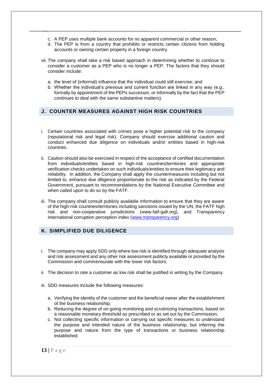- c. A PEP uses multiple bank accounts for no apparent commercial or other reason;
- d. The PEP is from a country that prohibits or restricts certain citizens from holding accounts or owning certain property in a foreign country.
- vii. The company shall take a risk based approach in determining whether to continue to consider a customer as a PEP who is no longer a PEP. The factors that they should consider include:
	- a. the level of (informal) influence that the individual could still exercise; and
	- b. Whether the individual's previous and current function are linked in any way (e.g., formally by appointment of the PEPs successor, or informally by the fact that the PEP continues to deal with the same substantive matters).

# <span id="page-13-0"></span>**J. COUNTER MEASURES AGAINST HIGH RISK COUNTRIES**

- i. Certain countries associated with crimes pose a higher potential risk to the company (reputational risk and legal risk). Company should exercise additional caution and conduct enhanced due diligence on individuals and/or entities based in high-risk countries.
- ii. Caution should also be exercised in respect of the acceptance of certified documentation from individuals/entities based in high-risk countries/territories and appropriate verification checks undertaken on such individuals/entities to ensure their legitimacy and reliability. In addition, the Company shall apply the countermeasures including but not limited to, enhance due diligence proportionate to the risk as indicated by the Federal Government, pursuant to recommendations by the National Executive Committee and when called upon to do so by the FATF.
- iii. The company shall consult publicly available information to ensure that they are aware of the high-risk countries/territories including sanctions issued by the UN, the FATF high risk and non-cooperative jurisdictions [\(www.fatf-gafi.org\),](http://www.fatf-gafi.org/) and Transparency international corruption perception index [\(www.transparency.org\)](http://www.transparency.org/)

## <span id="page-13-1"></span>**K. SIMPLIFIED DUE DILIGENCE**

- i. The company may apply SDD only where low risk is identified through adequate analysis and risk assessment and any other risk assessment publicly available or provided by the Commission and commensurate with the lower risk factors.
- ii. The decision to rate a customer as low risk shall be justified in writing by the Company.
- iii. SDD measures include the following measures:
	- a. Verifying the identity of the customer and the beneficial owner after the establishment of the business relationship;
	- b. Reducing the degree of on-going monitoring and scrutinizing transactions, based on a reasonable monetary threshold as prescribed or as set out by the Commission;
	- c. Not collecting specific information or carrying out specific measures to understand the purpose and intended nature of the business relationship, but inferring the purpose and nature from the type of transactions or business relationship established.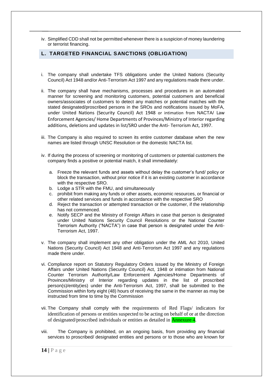iv. Simplified CDD shall not be permitted whenever there is a suspicion of money laundering or terrorist financing.

#### <span id="page-14-0"></span>**L. TARGETED FINANCIAL SANCTIONS (OBLIGATION)**

- i. The company shall undertake TFS obligations under the United Nations (Security Council) Act 1948 and/or Anti-Terrorism Act 1997 and any regulations made there under.
- ii. The company shall have mechanisms, processes and procedures in an automated manner for screening and monitoring customers, potential customers and beneficial owners/associates of customers to detect any matches or potential matches with the stated designated/proscribed persons in the SROs and notifications issued by MoFA, under United Nations (Security Council) Act 1948 or intimation from NACTA/ Law Enforcement Agencies/ Home Departments of Provinces/Ministry of Interior regarding additions, deletions and updates in list/SRO under the Anti- Terrorism Act, 1997.
- iii. The Company is also required to screen its entire customer database when the new names are listed through UNSC Resolution or the domestic NACTA list.
- iv. If during the process of screening or monitoring of customers or potential customers the company finds a positive or potential match, it shall immediately:
	- a. Freeze the relevant funds and assets without delay the customer's fund/ policy or block the transaction, without prior notice if it is an existing customer in accordance with the respective SRO.
	- b. Lodge a STR with the FMU, and simultaneously
	- c. prohibit from making any funds or other assets, economic resources, or financial or other related services and funds in accordance with the respective SRO
	- d. Reject the transaction or attempted transaction or the customer, if the relationship has not commenced.
	- e. Notify SECP and the Ministry of Foreign Affairs in case that person is designated under United Nations Security Council Resolutions or the National Counter Terrorism Authority ("NACTA") in case that person is designated under the Anti-Terrorism Act, 1997.
- v. The company shall implement any other obligation under the AML Act 2010, United Nations (Security Council) Act 1948 and Anti-Terrorism Act 1997 and any regulations made there under.
- vi. Compliance report on Statutory Regulatory Orders issued by the Ministry of Foreign Affairs under United Nations (Security Council) Act, 1948 or intimation from National Counter Terrorism Authority/Law Enforcement Agencies/Home Departments of Provinces/Ministry of Interior regarding updates in the list of proscribed person(s)/entity(ies) under the Anti-Terrorism Act, 1997, shall be submitted to the Commission within forty eight (48) hours of receiving the same in the manner as may be instructed from time to time by the Commission
- vii. The Company shall comply with the requirements of Red Flags/ indicators for identification of persons or entities suspected to be acting on behalf of or at the direction of designated/proscribed individuals or entities as detailed in Annexure 4.
- viii. The Company is prohibited, on an ongoing basis, from providing any financial services to proscribed/ designated entities and persons or to those who are known for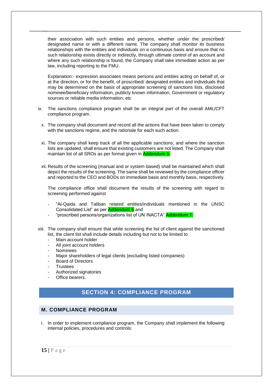their association with such entities and persons, whether under the proscribed/ designated name or with a different name. The company shall monitor its business relationships with the entities and individuals on a continuous basis and ensure that no such relationship exists directly or indirectly, through ultimate control of an account and where any such relationship is found, the Company shall take immediate action as per law, including reporting to the FMU.

Explanation:- expression associates means persons and entities acting on behalf of, or at the direction, or for the benefit, of proscribed/ designated entities and individuals that may be determined on the basis of appropriate screening of sanctions lists, disclosed nominee/beneficiary information, publicly known information, Government or regulatory sources or reliable media information, etc

- ix. The sanctions compliance program shall be an integral part of the overall AML/CFT compliance program.
	- x. The company shall document and record all the actions that have been taken to comply with the sanctions regime, and the rationale for each such action.
	- xi. The company shall keep track of all the applicable sanctions, and where the sanction lists are updated, shall ensure that existing customers are not listed. The Company shall maintain list of all SROs as per format given in Addendum 5.
	- xii. Results of the screening (manual and or system based) shall be maintained which shall depict the results of the screening. The same shall be reviewed by the compliance officer and reported to the CEO and BODs on immediate basis and monthly basis, respectively.

The compliance office shall document the results of the screening with regard to screening performed against

- "Al-Qaida and Taliban related entities/individuals mentioned in the UNSC Consolidated List" as per Addendum 6 and
- "proscribed persons/organizations list of UN /NACTA" Addendum 7.
- xiii. The company shall ensure that while screening the list of client against the sanctioned list, the client list shall include details including but not to be limited to
	- Main account holder
	- All joint account holders
	- **Nominees**
	- Major shareholders of legal clients (excluding listed companies)
	- Board of Directors
	- **Trustees**
	- Authorized signatories
	- Office bearers.

# **SECTION 4: COMPLIANCE PROGRAM**

# <span id="page-15-1"></span><span id="page-15-0"></span>**M. COMPLIANCE PROGRAM**

i. In order to implement compliance program, the Company shall implement the following internal policies, procedures and controls: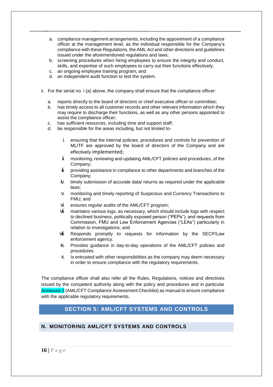- a. compliance management arrangements, including the appointment of a compliance officer at the management level, as the individual responsible for the Company's compliance with these Regulations, the AML Act and other directions and guidelines issued under the aforementioned regulations and laws;
- b. screening procedures when hiring employees to ensure the integrity and conduct, skills, and expertise of such employees to carry out their functions effectively;
- c. an ongoing employee training program; and
- d. an independent audit function to test the system.
- ii. For the serial no. i (a) above, the company shall ensure that the compliance officer:
	- a. reports directly to the board of directors or chief executive officer or committee;
	- b. has timely access to all customer records and other relevant information which they may require to discharge their functions, as well as any other persons appointed to assist the compliance officer;
	- c. has sufficient resources, including time and support staff;
	- d. be responsible for the areas including, but not limited to
		- i. ensuring that the internal policies, procedures and controls for prevention of ML/TF are approved by the board of directors of the Company and are effectively implemented;
		- **i.** monitoring, reviewing and updating AML/CFT policies and procedures, of the Company;
		- $\ddot{\mathbf{u}}$ . providing assistance in compliance to other departments and branches of the Company;
		- iv. timely submission of accurate data/ returns as required under the applicable laws;
		- v. monitoring and timely reporting of Suspicious and Currency Transactions to FMU; and
		- vi. ensures regular audits of the AML/CFT program;
		- vii. maintains various logs, as necessary, which should include logs with respect to declined business, politically exposed person ("PEPs"), and requests from Commission, FMU and Law Enforcement Agencies ("LEAs") particularly in relation to investigations; and
		- viii. Responds promptly to requests for information by the SECP/Law enforcement agency.
		- ix. Provides guidance in day-to-day operations of the AML/CFT policies and procedures.
		- x. Is entrusted with other responsibilities as the company may deem necessary in order to ensure compliance with the regulatory requirements.

The compliance officer shall also refer all the Rules, Regulations, notices and directives issued by the competent authority along with the policy and procedures and in particular Annexure 2 (AML/CFT Compliance Assessment Checklist) as manual to ensure compliance with the applicable regulatory requirements.

# **SECTION 5: AML/CFT SYSTEMS AND CONTROLS**

# <span id="page-16-1"></span><span id="page-16-0"></span>**N. MONITORING AML/CFT SYSTEMS AND CONTROLS**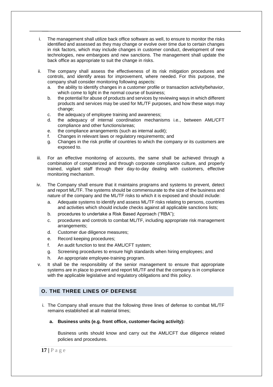- i. The management shall utilize back office software as well, to ensure to monitor the risks identified and assessed as they may change or evolve over time due to certain changes in risk factors, which may include changes in customer conduct, development of new technologies, new embargoes and new sanctions. The management shall update the back office as appropriate to suit the change in risks.
- ii. The company shall assess the effectiveness of its risk mitigation procedures and controls, and identify areas for improvement, where needed. For this purpose, the company shall consider monitoring following aspects:
	- a. the ability to identify changes in a customer profile or transaction activity/behavior, which come to light in the normal course of business;
	- b. the potential for abuse of products and services by reviewing ways in which different products and services may be used for ML/TF purposes, and how these ways may change;
	- c. the adequacy of employee training and awareness;
	- d. the adequacy of internal coordination mechanisms i.e., between AML/CFT compliance and other functions/areas;
	- e. the compliance arrangements (such as internal audit);
	- f. Changes in relevant laws or regulatory requirements; and
	- g. Changes in the risk profile of countries to which the company or its customers are exposed to.
- iii. For an effective monitoring of accounts, the same shall be achieved through a combination of computerized and through corporate compliance culture, and properly trained, vigilant staff through their day-to-day dealing with customers, effective monitoring mechanism.
- iv. The Company shall ensure that it maintains programs and systems to prevent, detect and report ML/TF. The systems should be commensurate to the size of the business and nature of the company and the ML/TF risks to which it is exposed and should include:
	- a. Adequate systems to identify and assess ML/TF risks relating to persons, countries and activities which should include checks against all applicable sanctions lists;
	- b. procedures to undertake a Risk Based Approach ("RBA");
	- c. procedures and controls to combat ML/TF, including appropriate risk management arrangements;
	- d. Customer due diligence measures;
	- e. Record keeping procedures;
	- f. An audit function to test the AML/CFT system;
	- g. Screening procedures to ensure high standards when hiring employees; and
	- h. An appropriate employee-training program.
- v. It shall be the responsibility of the senior management to ensure that appropriate systems are in place to prevent and report ML/TF and that the company is in compliance with the applicable legislative and regulatory obligations and this policy.

# <span id="page-17-0"></span>**O. THE THREE LINES OF DEFENSE**

- i. The Company shall ensure that the following three lines of defense to combat ML/TF remains established at all material times;
	- **a. Business units (e.g. front office, customer-facing activity):**

Business units should know and carry out the AML/CFT due diligence related policies and procedures.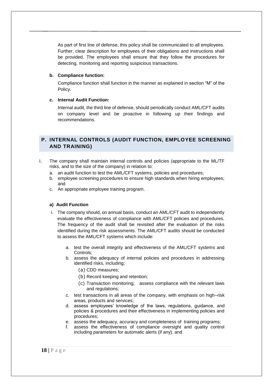As part of first line of defense, this policy shall be communicated to all employees. Further, clear description for employees of their obligations and instructions shall be provided. The employees shall ensure that they follow the procedures for detecting, monitoring and reporting suspicious transactions.

#### **b. Compliance function:**

Compliance function shall function in the manner as explained in section "M" of the Policy.

#### **c. Internal Audit Function:**

Internal audit, the third line of defense, should periodically conduct AML/CFT audits on company level and be proactive in following up their findings and recommendations.

# <span id="page-18-0"></span>**P. INTERNAL CONTROLS (AUDIT FUNCTION, EMPLOYEE SCREENING AND TRAINING)**

- i. The company shall maintain internal controls and policies (appropriate to the ML/TF risks, and to the size of the company) in relation to:
	- a. an audit function to test the AML/CFT systems, policies and procedures;
	- b. employee screening procedures to ensure high standards when hiring employees; and
	- c. An appropriate employee training program.

#### **a) Audit Function**

- i. The company should, on annual basis, conduct an AML/CFT audit to independently evaluate the effectiveness of compliance with AML/CFT policies and procedures. The frequency of the audit shall be revisited after the evaluation of the risks identified during the risk assessments. The AML/CFT audits should be conducted to assess the AML/CFT systems which include:
	- a. test the overall integrity and effectiveness of the AML/CFT systems and Controls;
	- b. assess the adequacy of internal policies and procedures in addressing identified risks, including;
		- (a) CDD measures;
		- (b) Record keeping and retention;
		- (c) Transaction monitoring; assess compliance with the relevant laws and regulations;
	- c. test transactions in all areas of the company, with emphasis on high–risk areas, products and services;
	- d. assess employees' knowledge of the laws, regulations, guidance, and policies & procedures and their effectiveness in implementing policies and procedures;
	- e. assess the adequacy, accuracy and completeness of training programs;
	- f. assess the effectiveness of compliance oversight and quality control including parameters for automatic alerts (if any), and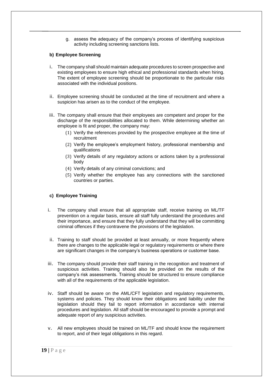g. assess the adequacy of the company's process of identifying suspicious activity including screening sanctions lists.

#### **b) Employee Screening**

- i. The company shall should maintain adequate procedures to screen prospective and existing employees to ensure high ethical and professional standards when hiring. The extent of employee screening should be proportionate to the particular risks associated with the individual positions.
- ii. Employee screening should be conducted at the time of recruitment and where a suspicion has arisen as to the conduct of the employee.
- iii. The company shall ensure that their employees are competent and proper for the discharge of the responsibilities allocated to them. While determining whether an employee is fit and proper, the company may:
	- (1) Verify the references provided by the prospective employee at the time of recruitment
	- (2) Verify the employee's employment history, professional membership and qualifications
	- (3) Verify details of any regulatory actions or actions taken by a professional body
	- (4) Verify details of any criminal convictions; and
	- (5) Verify whether the employee has any connections with the sanctioned countries or parties.

#### **c) Employee Training**

- i. The company shall ensure that all appropriate staff, receive training on ML/TF prevention on a regular basis, ensure all staff fully understand the procedures and their importance, and ensure that they fully understand that they will be committing criminal offences if they contravene the provisions of the legislation.
- ii. Training to staff should be provided at least annually, or more frequently where there are changes to the applicable legal or regulatory requirements or where there are significant changes in the company's business operations or customer base.
- iii. The company should provide their staff training in the recognition and treatment of suspicious activities. Training should also be provided on the results of the company's risk assessments. Training should be structured to ensure compliance with all of the requirements of the applicable legislation.
- iv. Staff should be aware on the AML/CFT legislation and regulatory requirements, systems and policies. They should know their obligations and liability under the legislation should they fail to report information in accordance with internal procedures and legislation. All staff should be encouraged to provide a prompt and adequate report of any suspicious activities.
- v. All new employees should be trained on ML/TF and should know the requirement to report, and of their legal obligations in this regard.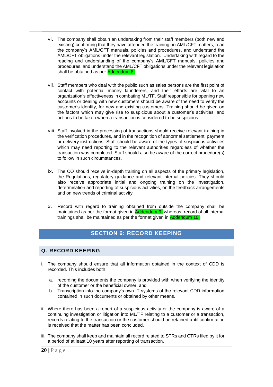- vi. The company shall obtain an undertaking from their staff members (both new and existing) confirming that they have attended the training on AML/CFT matters, read the company's AML/CFT manuals, policies and procedures, and understand the AML/CFT obligations under the relevant legislation. Undertaking with regard to the reading and understanding of the company's AML/CFT manuals, policies and procedures, and understand the AML/CFT obligations under the relevant legislation shall be obtained as per **Addendum 8.**
- vii. Staff members who deal with the public such as sales persons are the first point of contact with potential money launderers, and their efforts are vital to an organization's effectiveness in combating ML/TF. Staff responsible for opening new accounts or dealing with new customers should be aware of the need to verify the customer's identity, for new and existing customers. Training should be given on the factors which may give rise to suspicious about a customer's activities, and actions to be taken when a transaction is considered to be suspicious.
- viii. Staff involved in the processing of transactions should receive relevant training in the verification procedures, and in the recognition of abnormal settlement, payment or delivery instructions. Staff should be aware of the types of suspicious activities which may need reporting to the relevant authorities regardless of whether the transaction was completed. Staff should also be aware of the correct procedure(s) to follow in such circumstances.
- ix. The CO should receive in-depth training on all aspects of the primary legislation, the Regulations, regulatory guidance and relevant internal policies. They should also receive appropriate initial and ongoing training on the investigation, determination and reporting of suspicious activities, on the feedback arrangements and on new trends of criminal activity.
- x. Record with regard to training obtained from outside the company shall be maintained as per the format given in **Addendum 9**, whereas, record of all internal trainings shall be maintained as per the format given in Addendum 10.

# **SECTION 6: RECORD KEEPING**

#### <span id="page-20-1"></span><span id="page-20-0"></span>**Q. RECORD KEEPING**

- i. The company should ensure that all information obtained in the context of CDD is recorded. This includes both;
	- a. recording the documents the company is provided with when verifying the identity of the customer or the beneficial owner, and
	- b. Transcription into the company's own IT systems of the relevant CDD information contained in such documents or obtained by other means.
- ii. Where there has been a report of a suspicious activity or the company is aware of a continuing investigation or litigation into ML/TF relating to a customer or a transaction, records relating to the transaction or the customer should be retained until confirmation is received that the matter has been concluded.
- iii. The company shall keep and maintain all record related to STRs and CTRs filed by it for a period of at least 10 years after reporting of transaction.